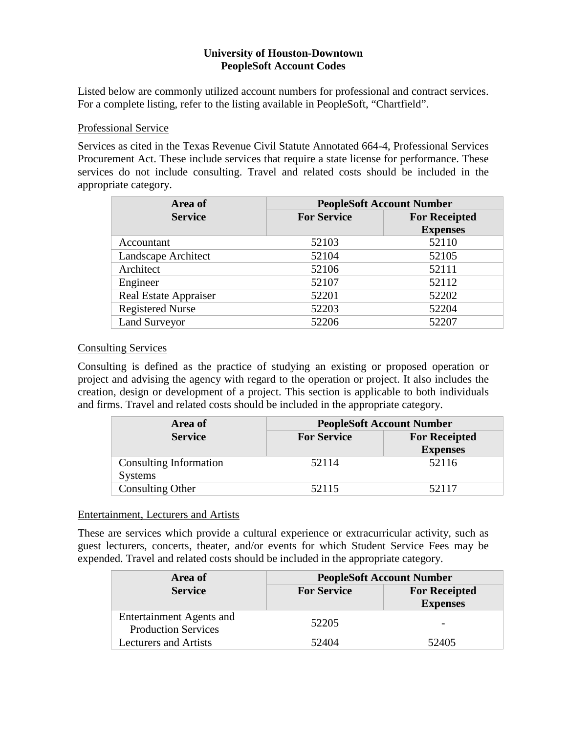# **University of Houston-Downtown PeopleSoft Account Codes**

Listed below are commonly utilized account numbers for professional and contract services. For a complete listing, refer to the listing available in PeopleSoft, "Chartfield".

## Professional Service

Services as cited in the Texas Revenue Civil Statute Annotated 664-4, Professional Services Procurement Act. These include services that require a state license for performance. These services do not include consulting. Travel and related costs should be included in the appropriate category.

| Area of                      | <b>PeopleSoft Account Number</b> |                      |
|------------------------------|----------------------------------|----------------------|
| <b>Service</b>               | <b>For Service</b>               | <b>For Receipted</b> |
|                              |                                  | <b>Expenses</b>      |
| Accountant                   | 52103                            | 52110                |
| Landscape Architect          | 52104                            | 52105                |
| Architect                    | 52106                            | 52111                |
| Engineer                     | 52107                            | 52112                |
| <b>Real Estate Appraiser</b> | 52201                            | 52202                |
| <b>Registered Nurse</b>      | 52203                            | 52204                |
| <b>Land Surveyor</b>         | 52206                            | 52207                |

## Consulting Services

Consulting is defined as the practice of studying an existing or proposed operation or project and advising the agency with regard to the operation or project. It also includes the creation, design or development of a project. This section is applicable to both individuals and firms. Travel and related costs should be included in the appropriate category.

| Area of                 | <b>PeopleSoft Account Number</b> |                      |
|-------------------------|----------------------------------|----------------------|
| <b>Service</b>          | <b>For Service</b>               | <b>For Receipted</b> |
|                         |                                  | <b>Expenses</b>      |
| Consulting Information  | 52114                            | 52116                |
| <b>Systems</b>          |                                  |                      |
| <b>Consulting Other</b> | 52115                            | 52117                |

## Entertainment, Lecturers and Artists

These are services which provide a cultural experience or extracurricular activity, such as guest lecturers, concerts, theater, and/or events for which Student Service Fees may be expended. Travel and related costs should be included in the appropriate category.

| Area of                                                       | <b>PeopleSoft Account Number</b> |                                         |
|---------------------------------------------------------------|----------------------------------|-----------------------------------------|
| <b>Service</b>                                                | <b>For Service</b>               | <b>For Receipted</b><br><b>Expenses</b> |
| <b>Entertainment Agents and</b><br><b>Production Services</b> | 52205                            |                                         |
| <b>Lecturers and Artists</b>                                  | 52404                            | 52405                                   |